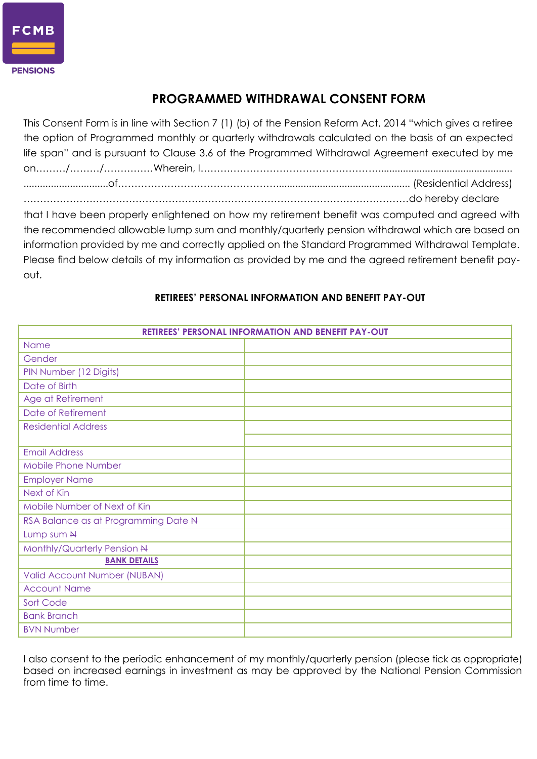

## **PROGRAMMED WITHDRAWAL CONSENT FORM**

This Consent Form is in line with Section 7 (1) (b) of the Pension Reform Act, 2014 "which gives a retiree the option of Programmed monthly or quarterly withdrawals calculated on the basis of an expected life span" and is pursuant to Clause 3.6 of the Programmed Withdrawal Agreement executed by me on………/………/……………Wherein, I………………………………………………................................................. ...............................of…………………………………………................................................. (Residential Address) ………………………………………………………………………………………………………do hereby declare that I have been properly enlightened on how my retirement benefit was computed and agreed with the recommended allowable lump sum and monthly/quarterly pension withdrawal which are based on information provided by me and correctly applied on the Standard Programmed Withdrawal Template. Please find below details of my information as provided by me and the agreed retirement benefit payout.

## **RETIREES' PERSONAL INFORMATION AND BENEFIT PAY-OUT** Name Gender PIN Number (12 Digits) Date of Birth Age at Retirement Date of Retirement Residential Address Email Address Mobile Phone Number Employer Name Next of Kin Mobile Number of Next of Kin RSA Balance as at Programming Date N Lump sum N Monthly/Quarterly Pension N **BANK DETAILS** Valid Account Number (NUBAN) Account Name Sort Code Bank Branch BVN Number

## **RETIREES' PERSONAL INFORMATION AND BENEFIT PAY-OUT**

I also consent to the periodic enhancement of my monthly/quarterly pension (please tick as appropriate) based on increased earnings in investment as may be approved by the National Pension Commission from time to time.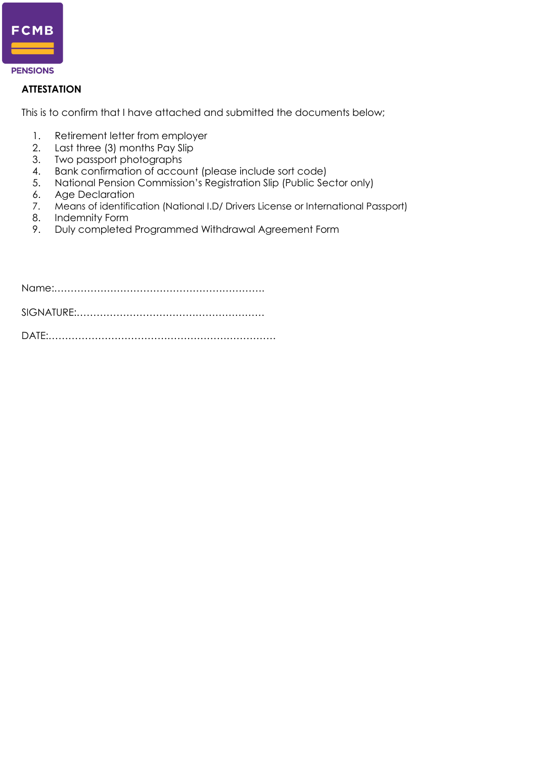

#### **ATTESTATION**

This is to confirm that I have attached and submitted the documents below;

- 1. Retirement letter from employer
- 2. Last three (3) months Pay Slip
- 3. Two passport photographs
- 4. Bank confirmation of account (please include sort code)
- 5. National Pension Commission's Registration Slip (Public Sector only)
- 6. Age Declaration
- 7. Means of identification (National I.D/ Drivers License or International Passport)
- 8. Indemnity Form
- 9. Duly completed Programmed Withdrawal Agreement Form

Name:………………………………………………………. SIGNATURE:………………………………………………… DATE:……………………………………………………………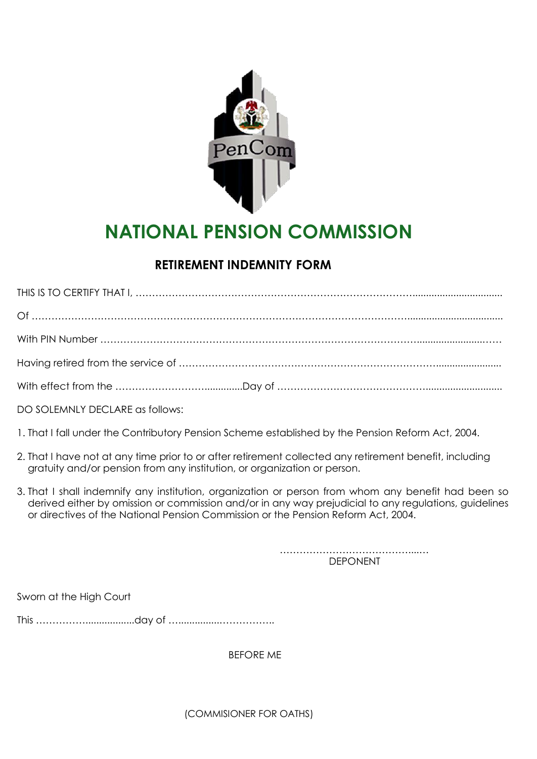

# **NATIONAL PENSION COMMISSION**

# **RETIREMENT INDEMNITY FORM**

DO SOLEMNLY DECLARE as follows:

- 1. That I fall under the Contributory Pension Scheme established by the Pension Reform Act, 2004.
- 2. That I have not at any time prior to or after retirement collected any retirement benefit, including gratuity and/or pension from any institution, or organization or person.
- 3. That I shall indemnify any institution, organization or person from whom any benefit had been so derived either by omission or commission and/or in any way prejudicial to any regulations, guidelines or directives of the National Pension Commission or the Pension Reform Act, 2004.

…………………………………....… DEPONENT

Sworn at the High Court

This ……………..................day of …...............……………..

BEFORE ME

(COMMISIONER FOR OATHS)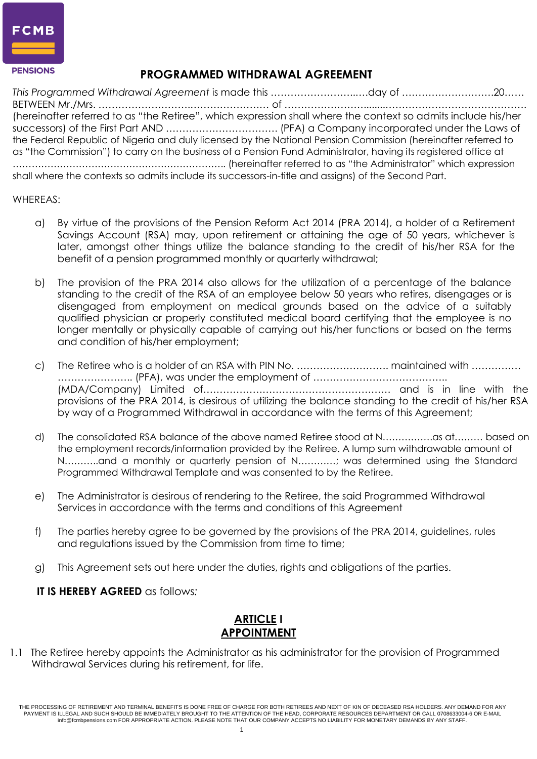

## **PROGRAMMED WITHDRAWAL AGREEMENT**

*This Programmed Withdrawal Agreement* is made this ……………………..….day of ……………………….20…… BETWEEN Mr./Mrs. ……………………….…………………… of ……………………........……………………………………. (hereinafter referred to as "the Retiree", which expression shall where the context so admits include his/her successors) of the First Part AND ……………………………. (PFA) a Company incorporated under the Laws of the Federal Republic of Nigeria and duly licensed by the National Pension Commission (hereinafter referred to as "the Commission") to carry on the business of a Pension Fund Administrator, having its registered office at ………………………………………………………….. (hereinafter referred to as "the Administrator" which expression shall where the contexts so admits include its successors-in-title and assigns) of the Second Part.

#### WHEREAS:

- a) By virtue of the provisions of the Pension Reform Act 2014 (PRA 2014), a holder of a Retirement Savings Account (RSA) may, upon retirement or attaining the age of 50 years, whichever is later, amongst other things utilize the balance standing to the credit of his/her RSA for the benefit of a pension programmed monthly or quarterly withdrawal;
- b) The provision of the PRA 2014 also allows for the utilization of a percentage of the balance standing to the credit of the RSA of an employee below 50 years who retires, disengages or is disengaged from employment on medical grounds based on the advice of a suitably qualified physician or properly constituted medical board certifying that the employee is no longer mentally or physically capable of carrying out his/her functions or based on the terms and condition of his/her employment;
- c) The Retiree who is a holder of an RSA with PIN No. ………………………. maintained with …………… ………………….. (PFA), was under the employment of ………………………………….. (MDA/Company) Limited of………………………………………………… and is in line with the provisions of the PRA 2014, is desirous of utilizing the balance standing to the credit of his/her RSA by way of a Programmed Withdrawal in accordance with the terms of this Agreement;
- d) The consolidated RSA balance of the above named Retiree stood at N…………….as at……… based on the employment records/information provided by the Retiree. A lump sum withdrawable amount of N………..and a monthly or quarterly pension of N…………; was determined using the Standard Programmed Withdrawal Template and was consented to by the Retiree.
- e) The Administrator is desirous of rendering to the Retiree, the said Programmed Withdrawal Services in accordance with the terms and conditions of this Agreement
- f) The parties hereby agree to be governed by the provisions of the PRA 2014, guidelines, rules and regulations issued by the Commission from time to time;
- g) This Agreement sets out here under the duties, rights and obligations of the parties.

#### **IT IS HEREBY AGREED** as follows*:*

## **ARTICLE I APPOINTMENT**

1.1 The Retiree hereby appoints the Administrator as his administrator for the provision of Programmed Withdrawal Services during his retirement, for life.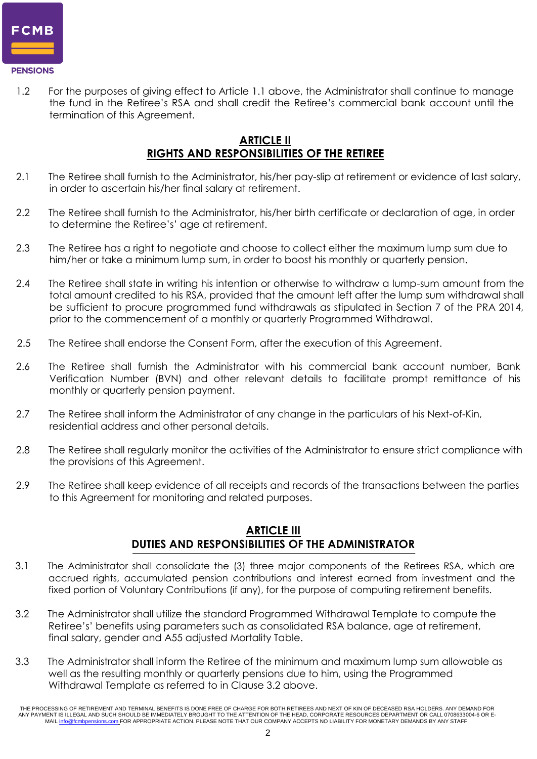

1.2 For the purposes of giving effect to Article 1.1 above, the Administrator shall continue to manage the fund in the Retiree's RSA and shall credit the Retiree's commercial bank account until the termination of this Agreement.

#### **ARTICLE II RIGHTS AND RESPONSIBILITIES OF THE RETIREE**

- 2.1 The Retiree shall furnish to the Administrator, his/her pay-slip at retirement or evidence of last salary, in order to ascertain his/her final salary at retirement.
- 2.2 The Retiree shall furnish to the Administrator, his/her birth certificate or declaration of age, in order to determine the Retiree's' age at retirement.
- 2.3 The Retiree has a right to negotiate and choose to collect either the maximum lump sum due to him/her or take a minimum lump sum, in order to boost his monthly or quarterly pension.
- 2.4 The Retiree shall state in writing his intention or otherwise to withdraw a lump-sum amount from the total amount credited to his RSA, provided that the amount left after the lump sum withdrawal shall be sufficient to procure programmed fund withdrawals as stipulated in Section 7 of the PRA 2014, prior to the commencement of a monthly or quarterly Programmed Withdrawal.
- 2.5 The Retiree shall endorse the Consent Form, after the execution of this Agreement.
- 2.6 The Retiree shall furnish the Administrator with his commercial bank account number, Bank Verification Number (BVN) and other relevant details to facilitate prompt remittance of his monthly or quarterly pension payment.
- 2.7 The Retiree shall inform the Administrator of any change in the particulars of his Next-of-Kin, residential address and other personal details.
- 2.8 The Retiree shall regularly monitor the activities of the Administrator to ensure strict compliance with the provisions of this Agreement.
- 2.9 The Retiree shall keep evidence of all receipts and records of the transactions between the parties to this Agreement for monitoring and related purposes.

#### **ARTICLE III DUTIES AND RESPONSIBILITIES OF THE ADMINISTRATOR**

- 3.1 The Administrator shall consolidate the (3) three major components of the Retirees RSA, which are accrued rights, accumulated pension contributions and interest earned from investment and the fixed portion of Voluntary Contributions (if any), for the purpose of computing retirement benefits.
- 3.2 The Administrator shall utilize the standard Programmed Withdrawal Template to compute the Retiree's' benefits using parameters such as consolidated RSA balance, age at retirement, final salary, gender and A55 adjusted Mortality Table.
- 3.3 The Administrator shall inform the Retiree of the minimum and maximum lump sum allowable as well as the resulting monthly or quarterly pensions due to him, using the Programmed Withdrawal Template as referred to in Clause 3.2 above.

THE PROCESSING OF RETIREMENT AND TERMINAL BENEFITS IS DONE FREE OF CHARGE FOR BOTH RETIREES AND NEXT OF KIN OF DECEASED RSA HOLDERS. ANY DEMAND FOR ANY PAYMENT IS ILLEGAL AND SUCH SHOULD BE IMMEDIATELY BROUGHT TO THE ATTENTION OF THE HEAD, CORPORATE RESOURCES DEPARTMENT OR CALL 0708633004-6 OR E-<br>MAIL <u>info@fcmbpensions.com</u> FOR APPROPRIATE ACTION. PLEASE NOTE THAT OU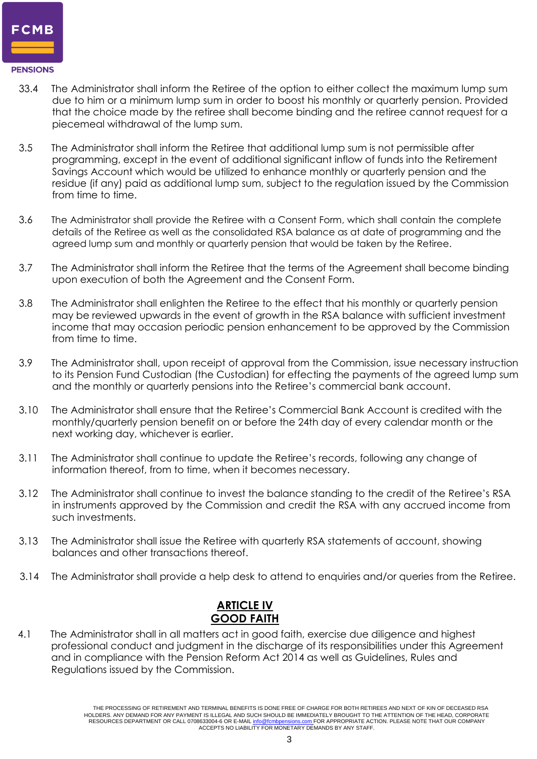

- 33.4 The Administrator shall inform the Retiree of the option to either collect the maximum lump sum due to him or a minimum lump sum in order to boost his monthly or quarterly pension. Provided that the choice made by the retiree shall become binding and the retiree cannot request for a piecemeal withdrawal of the lump sum.
- 3.5 The Administrator shall inform the Retiree that additional lump sum is not permissible after programming, except in the event of additional significant inflow of funds into the Retirement Savings Account which would be utilized to enhance monthly or quarterly pension and the residue (if any) paid as additional lump sum, subject to the regulation issued by the Commission from time to time.
- 3.6 The Administrator shall provide the Retiree with a Consent Form, which shall contain the complete details of the Retiree as well as the consolidated RSA balance as at date of programming and the agreed lump sum and monthly or quarterly pension that would be taken by the Retiree.
- 3.7 The Administrator shall inform the Retiree that the terms of the Agreement shall become binding upon execution of both the Agreement and the Consent Form.
- 3.8 The Administrator shall enlighten the Retiree to the effect that his monthly or quarterly pension may be reviewed upwards in the event of growth in the RSA balance with sufficient investment income that may occasion periodic pension enhancement to be approved by the Commission from time to time.
- 3.9 The Administrator shall, upon receipt of approval from the Commission, issue necessary instruction to its Pension Fund Custodian (the Custodian) for effecting the payments of the agreed lump sum and the monthly or quarterly pensions into the Retiree's commercial bank account.
- 3.10 The Administrator shall ensure that the Retiree's Commercial Bank Account is credited with the monthly/quarterly pension benefit on or before the 24th day of every calendar month or the next working day, whichever is earlier.
- 3.11 The Administrator shall continue to update the Retiree's records, following any change of information thereof, from to time, when it becomes necessary.
- 3.12 The Administrator shall continue to invest the balance standing to the credit of the Retiree's RSA in instruments approved by the Commission and credit the RSA with any accrued income from such investments.
- 3.13 The Administrator shall issue the Retiree with quarterly RSA statements of account, showing balances and other transactions thereof.
- 3.14 The Administrator shall provide a help desk to attend to enquiries and/or queries from the Retiree.

## **ARTICLE IV GOOD FAITH**

4.1 The Administrator shall in all matters act in good faith, exercise due diligence and highest professional conduct and judgment in the discharge of its responsibilities under this Agreement and in compliance with the Pension Reform Act 2014 as well as Guidelines, Rules and Regulations issued by the Commission.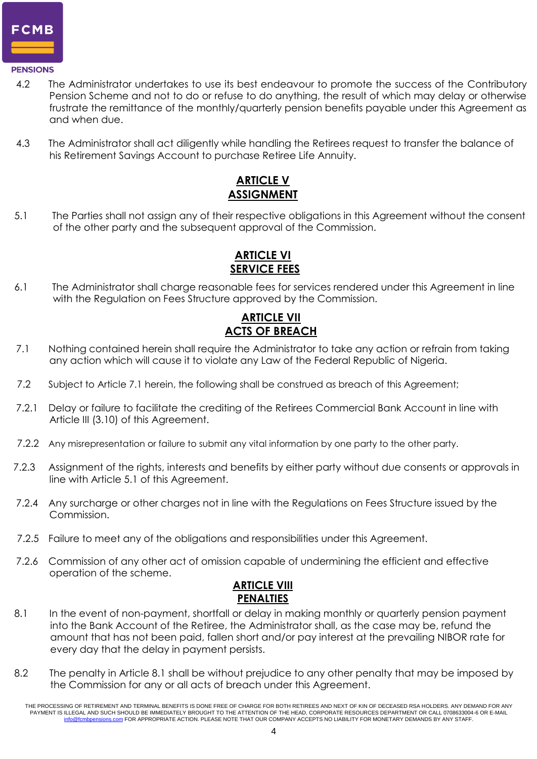

#### **PENSIONS**

- 4.2 The Administrator undertakes to use its best endeavour to promote the success of the Contributory Pension Scheme and not to do or refuse to do anything, the result of which may delay or otherwise frustrate the remittance of the monthly/quarterly pension benefits payable under this Agreement as and when due.
- 4.3 The Administrator shall act diligently while handling the Retirees request to transfer the balance of his Retirement Savings Account to purchase Retiree Life Annuity.

## **ARTICLE V ASSIGNMENT**

5.1 The Parties shall not assign any of their respective obligations in this Agreement without the consent of the other party and the subsequent approval of the Commission.

## **ARTICLE VI SERVICE FEES**

6.1 The Administrator shall charge reasonable fees for services rendered under this Agreement in line with the Regulation on Fees Structure approved by the Commission.

## **ARTICLE VII ACTS OF BREACH**

- 7.1 Nothing contained herein shall require the Administrator to take any action or refrain from taking any action which will cause it to violate any Law of the Federal Republic of Nigeria.
- 7.2 Subject to Article 7.1 herein, the following shall be construed as breach of this Agreement;
- 7.2.1 Delay or failure to facilitate the crediting of the Retirees Commercial Bank Account in line with Article III (3.10) of this Agreement.
- 7.2.2 Any misrepresentation or failure to submit any vital information by one party to the other party.
- 7.2.3 Assignment of the rights, interests and benefits by either party without due consents or approvals in line with Article 5.1 of this Agreement.
- 7.2.4 Any surcharge or other charges not in line with the Regulations on Fees Structure issued by the Commission.
- 7.2.5 Failure to meet any of the obligations and responsibilities under this Agreement.
- 7.2.6 Commission of any other act of omission capable of undermining the efficient and effective operation of the scheme.



- 8.1 In the event of non-payment, shortfall or delay in making monthly or quarterly pension payment into the Bank Account of the Retiree, the Administrator shall, as the case may be, refund the amount that has not been paid, fallen short and/or pay interest at the prevailing NIBOR rate for every day that the delay in payment persists.
- 8.2 The penalty in Article 8.1 shall be without prejudice to any other penalty that may be imposed by the Commission for any or all acts of breach under this Agreement.

THE PROCESSING OF RETIREMENT AND TERMINAL BENEFITS IS DONE FREE OF CHARGE FOR BOTH RETIREES AND NEXT OF KIN OF DECEASED RSA HOLDERS. ANY DEMAND FOR ANY PAYMENT IS ILLEGAL AND SUCH SHOULD BE IMMEDIATELY BROUGHT TO THE ATTENTION OF THE HEAD, CORPORATE RESOURCES DEPARTMENT OR CALL 0708633004-6 OR E-MAIL [info@fcmbpensions.com](mailto:info@fcmbpensions.com) FOR APPROPRIATE ACTION. PLEASE NOTE THAT OUR COMPANY ACCEPTS NO LIABILITY FOR MONETARY DEMANDS BY ANY STAFF.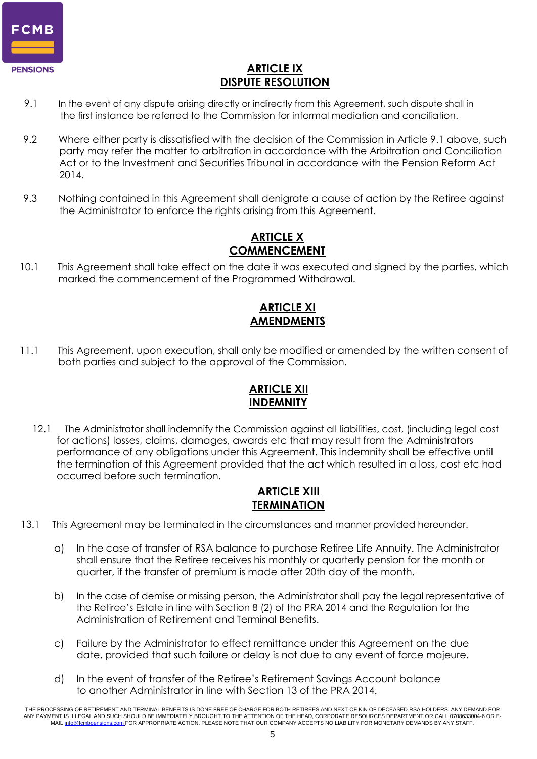

#### **ARTICLE IX DISPUTE RESOLUTION**

- 9.1 In the event of any dispute arising directly or indirectly from this Agreement, such dispute shall in the first instance be referred to the Commission for informal mediation and conciliation.
- 9.2 Where either party is dissatisfied with the decision of the Commission in Article 9.1 above, such party may refer the matter to arbitration in accordance with the Arbitration and Conciliation Act or to the Investment and Securities Tribunal in accordance with the Pension Reform Act 2014.
- 9.3 Nothing contained in this Agreement shall denigrate a cause of action by the Retiree against the Administrator to enforce the rights arising from this Agreement.

#### **ARTICLE X COMMENCEMENT**

10.1 This Agreement shall take effect on the date it was executed and signed by the parties, which marked the commencement of the Programmed Withdrawal.

## **ARTICLE XI AMENDMENTS**

11.1 This Agreement, upon execution, shall only be modified or amended by the written consent of both parties and subject to the approval of the Commission.

## **ARTICLE XII INDEMNITY**

12.1 The Administrator shall indemnify the Commission against all liabilities, cost, (including legal cost for actions) losses, claims, damages, awards etc that may result from the Administrators performance of any obligations under this Agreement. This indemnity shall be effective until the termination of this Agreement provided that the act which resulted in a loss, cost etc had occurred before such termination.

#### **ARTICLE XIII TERMINATION**

- 13.1 This Agreement may be terminated in the circumstances and manner provided hereunder.
	- a) In the case of transfer of RSA balance to purchase Retiree Life Annuity. The Administrator shall ensure that the Retiree receives his monthly or quarterly pension for the month or quarter, if the transfer of premium is made after 20th day of the month.
	- b) In the case of demise or missing person, the Administrator shall pay the legal representative of the Retiree's Estate in line with Section 8 (2) of the PRA 2014 and the Regulation for the Administration of Retirement and Terminal Benefits.
	- c) Failure by the Administrator to effect remittance under this Agreement on the due date, provided that such failure or delay is not due to any event of force majeure.
	- d) In the event of transfer of the Retiree's Retirement Savings Account balance to another Administrator in line with Section 13 of the PRA 2014.

THE PROCESSING OF RETIREMENT AND TERMINAL BENEFITS IS DONE FREE OF CHARGE FOR BOTH RETIREES AND NEXT OF KIN OF DECEASED RSA HOLDERS. ANY DEMAND FOR ANY PAYMENT IS ILLEGAL AND SUCH SHOULD BE IMMEDIATELY BROUGHT TO THE ATTENTION OF THE HEAD, CORPORATE RESOURCES DEPARTMENT OR CALL 0708633004-6 OR E-MAI[L info@fcmbpensions.com](mailto:info@fcmbpensions.com) FOR APPROPRIATE ACTION. PLEASE NOTE THAT OUR COMPANY ACCEPTS NO LIABILITY FOR MONETARY DEMANDS BY ANY STAFF.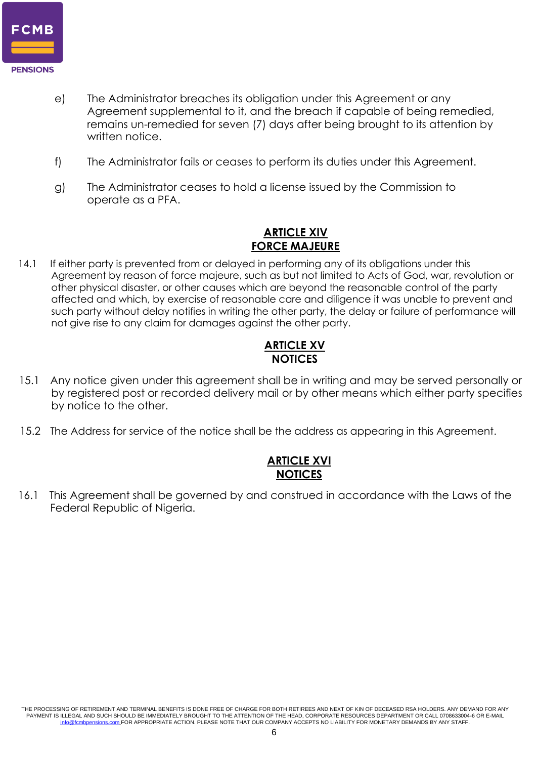

- e) The Administrator breaches its obligation under this Agreement or any Agreement supplemental to it, and the breach if capable of being remedied, remains un-remedied for seven (7) days after being brought to its attention by written notice.
- f) The Administrator fails or ceases to perform its duties under this Agreement.
- g) The Administrator ceases to hold a license issued by the Commission to operate as a PFA.

#### **ARTICLE XIV FORCE MAJEURE**

14.1 If either party is prevented from or delayed in performing any of its obligations under this Agreement by reason of force majeure, such as but not limited to Acts of God, war, revolution or other physical disaster, or other causes which are beyond the reasonable control of the party affected and which, by exercise of reasonable care and diligence it was unable to prevent and such party without delay notifies in writing the other party, the delay or failure of performance will not give rise to any claim for damages against the other party.

#### **ARTICLE XV NOTICES**

- 15.1 Any notice given under this agreement shall be in writing and may be served personally or by registered post or recorded delivery mail or by other means which either party specifies by notice to the other.
- 15.2 The Address for service of the notice shall be the address as appearing in this Agreement.

#### **ARTICLE XVI NOTICES**

16.1 This Agreement shall be governed by and construed in accordance with the Laws of the Federal Republic of Nigeria.